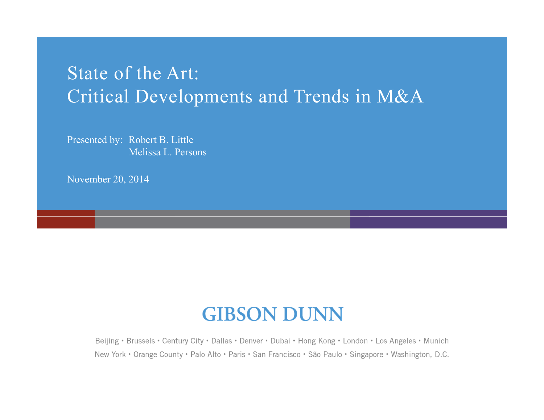## State of the Art: Critical Developments and Trends in M&A

Presented by: Robert B. Little Melissa L. Persons

November 20, 2014

## **GIBSON DUNN**

Beijing • Brussels • Century City • Dallas • Denver • Dubai • Hong Kong • London • Los Angeles • Munich New York • Orange County • Palo Alto • Paris • San Francisco • São Paulo • Singapore • Washington, D.C.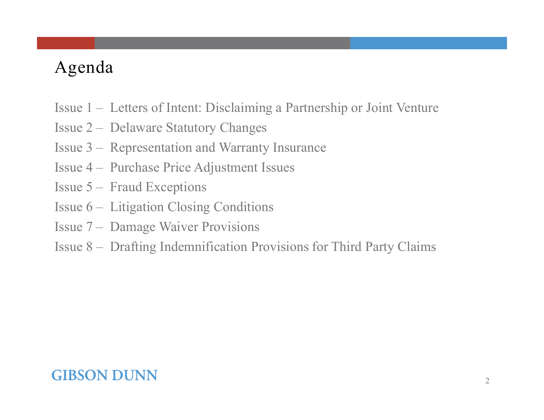## Agenda

- Issue 1 Letters of Intent: Disclaiming a Partnership or Joint Venture
- Issue 2 Delaware Statutory Changes
- Issue 3 Representation and Warranty Insurance
- Issue 4 Purchase Price Adjustment Issues
- Issue 5 Fraud Exceptions
- Issue 6 Litigation Closing Conditions
- Issue 7 Damage Waiver Provisions
- Issue 8 Drafting Indemnification Provisions for Third Party Claims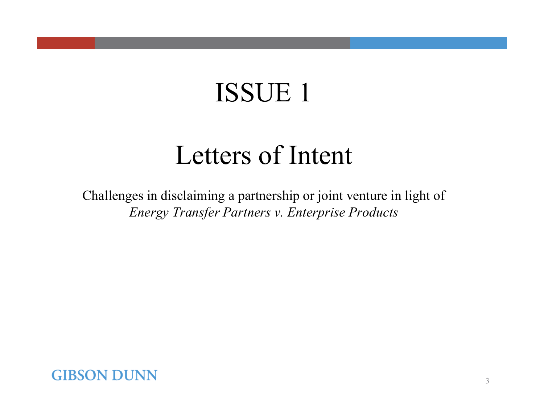## Letters of Intent

Challenges in disclaiming a partnership or joint venture in light of *Energy Transfer Partners v. Enterprise Products*

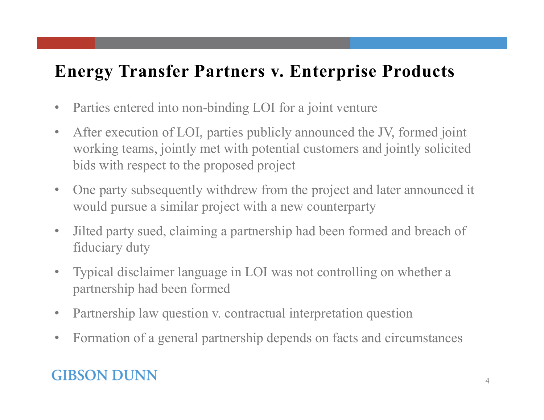## **Energy Transfer Partners v. Enterprise Products**

- $\bullet$ Parties entered into non-binding LOI for a joint venture
- $\bullet$  After execution of LOI, parties publicly announced the JV, formed joint working teams, jointly met with potential customers and jointly solicited bids with respect to the proposed project
- $\bullet$  One party subsequently withdrew from the project and later announced it would pursue a similar project with a new counterparty
- $\bullet$  Jilted party sued, claiming a partnership had been formed and breach of fiduciary duty
- $\bullet$  Typical disclaimer language in LOI was not controlling on whether a partnership had been formed
- $\bullet$ Partnership law question v. contractual interpretation question
- $\bullet$ Formation of a general partnership depends on facts and circumstances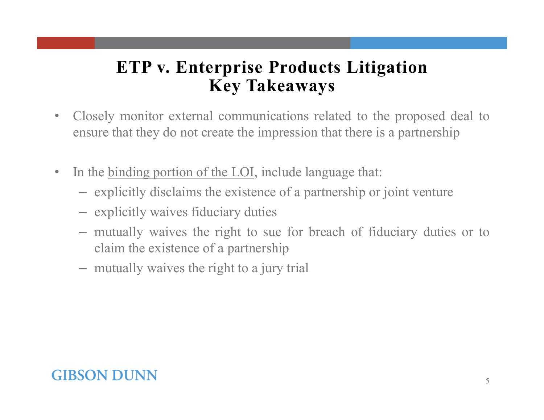### **ETP v. Enterprise Products Litigation Key Takeaways**

- $\bullet$  Closely monitor external communications related to the proposed deal to ensure that they do not create the impression that there is <sup>a</sup> partnership
- $\bullet$  In the binding portion of the LOI, include language that:
	- explicitly disclaims the existence of a partnership or joint venture
	- explicitly waives fiduciary duties
	- mutually waives the right to sue for breach of fiduciary duties or to claim the existence of <sup>a</sup> partnership
	- mutually waives the right to <sup>a</sup> jury trial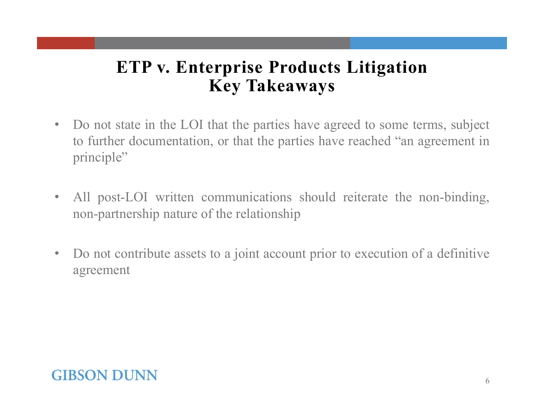### **ETP v. Enterprise Products Litigation Key Takeaways**

- • Do not state in the LOI that the parties have agreed to some terms, subject to further documentation, or that the parties have reached "an agreemen<sup>t</sup> in principle"
- $\bullet$  All post-LOI written communications should reiterate the non-binding, non-partnership nature of the relationship
- $\bullet$  Do not contribute assets to <sup>a</sup> joint account prior to execution of <sup>a</sup> definitive agreement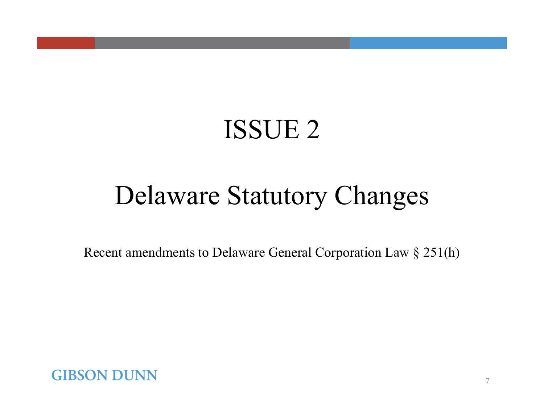## Delaware Statutory Changes

Recent amendments to Delaware General Corporation Law § 251(h)

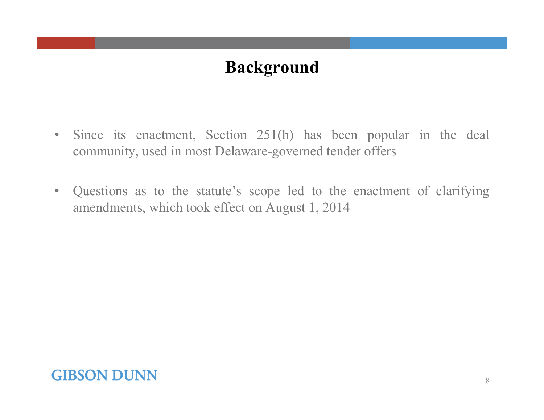## **Background**

- • Since its enactment, Section 251(h) has been popular in the deal community, used in most Delaware-governed tender offers
- • Questions as to the statute's scope led to the enactment of clarifying amendments, which took effect on August 1, 2014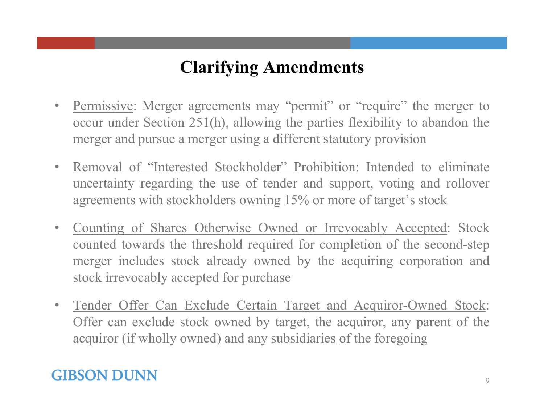## **Clarifying Amendments**

- $\bullet$ Permissive: Merger agreements may "permit" or "require" the merger to occur under Section 251(h), allowing the parties flexibility to abandon the merger and pursue <sup>a</sup> merger using <sup>a</sup> different statutory provision
- •• Removal of "Interested Stockholder" Prohibition: Intended to eliminate uncertainty regarding the use of tender and support, voting and rollover agreements with stockholders owning 15% or more of target's stock
- $\bullet$  Counting of Shares Otherwise Owned or Irrevocably Accepted: Stock counted towards the threshold required for completion of the second-step merger includes stock already owned by the acquiring corporation and stock irrevocably accepted for purchase
- $\bullet$  Tender Offer Can Exclude Certain Target and Acquiror-Owned Stock: Offer can exclude stock owned by target, the acquiror, any paren<sup>t</sup> of the acquiror (if wholly owned) and any subsidiaries of the foregoing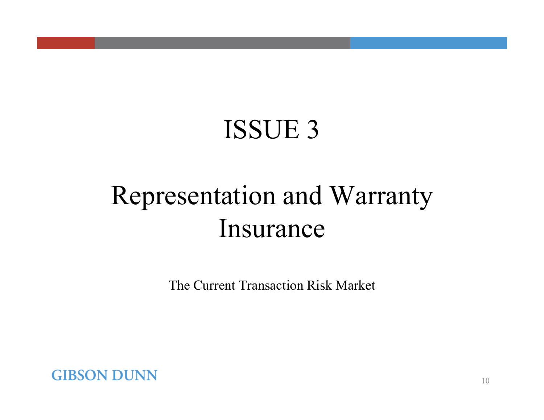# Representation and Warranty Insurance

The Current Transaction Risk Market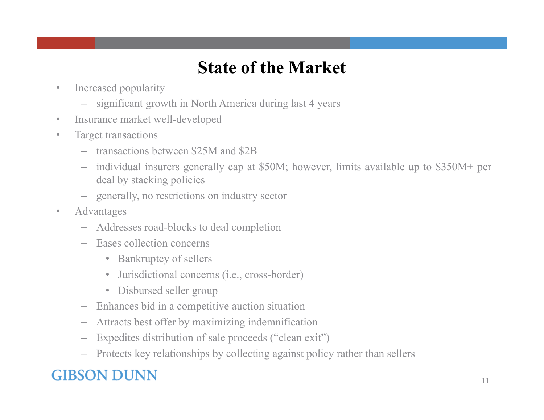## **State of the Market**

- • Increased popularity
	- significant growth in North America during last 4 years
- •Insurance market well-developed
- $\bullet$  Target transactions
	- transactions between \$25M and \$2B
	- individual insurers generally cap at \$50M; however, limits available up to \$350M+ per deal by stacking policies
	- generally, no restrictions on industry sector
- $\bullet$  Advantages
	- Addresses road-blocks to deal completion
	- Eases collection concerns
		- •Bankruptcy of sellers
		- Jurisdictional concerns (i.e., cross-border)
		- •Disbursed seller group
	- Enhances bid in <sup>a</sup> competitive auction situation
	- Attracts best offer by maximizing indemnification
	- –Expedites distribution of sale proceeds ("clean exit")
	- Protects key relationships by collecting against policy rather than sellers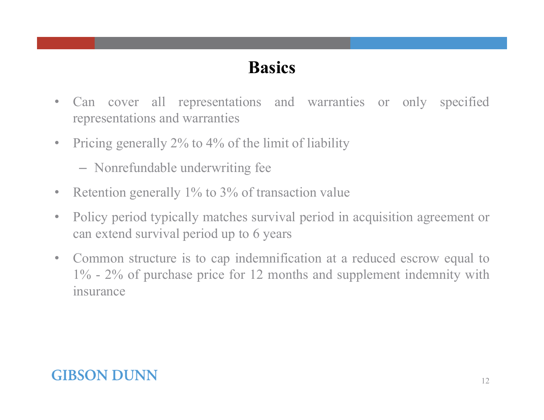## **Basics**

- $\bullet$  Can cover all representations and warranties or only specified representations and warranties
- $\bullet$  Pricing generally 2% to 4% of the limit of liability
	- Nonrefundable underwriting fee
- $\bullet$ Retention generally 1% to 3% of transaction value
- $\bullet$  Policy period typically matches survival period in acquisition agreemen<sup>t</sup> or can extend survival period up to 6 years
- $\bullet$  Common structure is to cap indemnification at <sup>a</sup> reduced escrow equal to 1% - 2% of purchase price for 12 months and supplement indemnity with insurance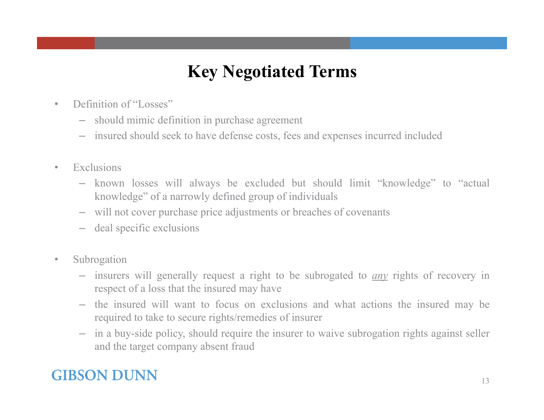## **Key Negotiated Terms**

- •Definition of "Losses"
	- should mimic definition in purchase agreemen<sup>t</sup>
	- insured should seek to have defense costs, fees and expenses incurred included
- • Exclusions
	- known losses will always be excluded but should limit "knowledge" to "actual knowledge" of <sup>a</sup> narrowly defined group of individuals
	- will not cover purchase price adjustments or breaches of covenants
	- deal specific exclusions
- $\bullet$  Subrogation
	- insurers will generally reques<sup>t</sup> <sup>a</sup> right to be subrogated to *any* rights of recovery in respec<sup>t</sup> of <sup>a</sup> loss that the insured may have
	- the insured will want to focus on exclusions and what actions the insured may be required to take to secure rights/remedies of insurer
	- in <sup>a</sup> buy-side policy, should require the insurer to waive subrogation rights against seller and the target company absent fraud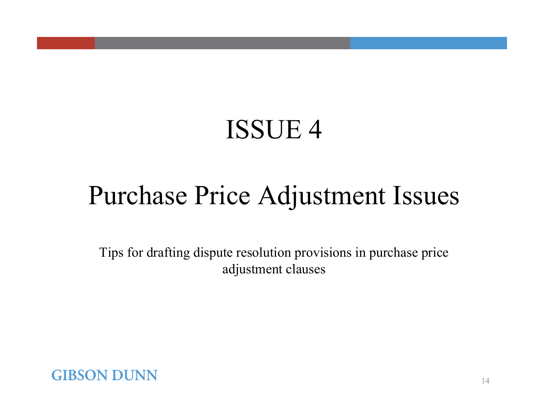# Purchase Price Adjustment Issues

Tips for drafting dispute resolution provisions in purchase price adjustment clauses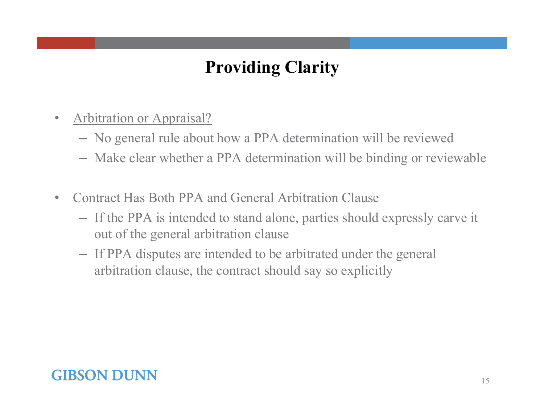## **Providing Clarity**

- $\bullet$  Arbitration or Appraisal?
	- No general rule about how a PPA determination will be reviewed
	- Make clear whether a PPA determination will be binding or reviewable
- •• Contract Has Both PPA and General Arbitration Clause
	- If the PPA is intended to stand alone, parties should expressly carve it out of the general arbitration clause
	- If PPA disputes are intended to be arbitrated under the general arbitration clause, the contract should say so explicitly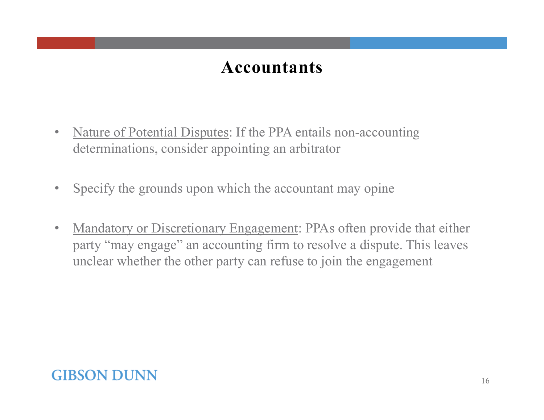### **Accountants**

- $\bullet$  Nature of Potential Disputes: If the PPA entails non-accounting determinations, consider appointing an arbitrator
- $\bullet$ Specify the grounds upon which the accountant may opine
- $\bullet$  Mandatory or Discretionary Engagement: PPAs often provide that either party "may engage" an accounting firm to resolve a dispute. This leaves unclear whether the other party can refuse to join the engagement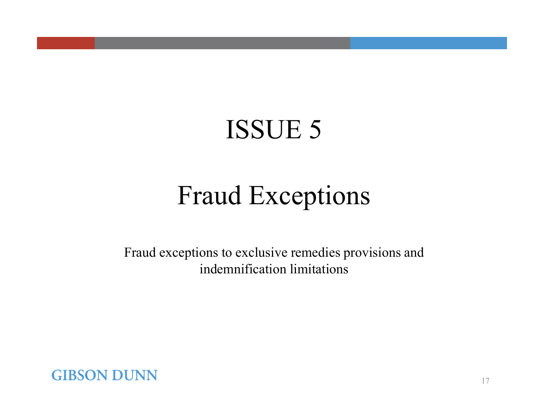# Fraud Exceptions

Fraud exceptions to exclusive remedies provisions and indemnification limitations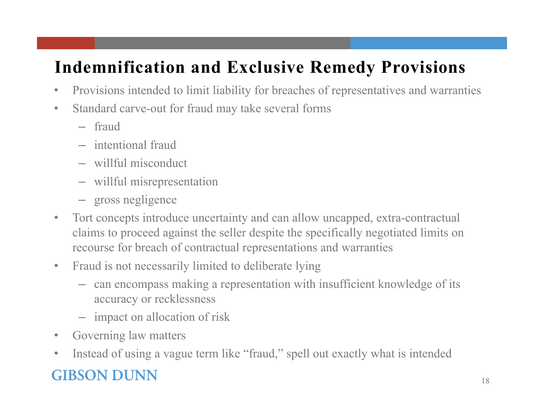## **Indemnification and Exclusive Remedy Provisions**

- $\bullet$ Provisions intended to limit liability for breaches of representatives and warranties
- $\bullet$  Standard carve-out for fraud may take several forms
	- fraud
	- intentional fraud
	- willful misconduct
	- willful misrepresentation
	- gross negligence
- $\bullet$  Tort concepts introduce uncertainty and can allow uncapped, extra-contractual claims to proceed against the seller despite the specifically negotiated limits on recourse for breach of contractual representations and warranties
- $\bullet$  Fraud is not necessarily limited to deliberate lying
	- can encompass making a representation with insufficient knowledge of its accuracy or recklessness
	- impact on allocation of risk
- •Governing law matters
- $\bullet$ Instead of using a vague term like "fraud," spell out exactly what is intended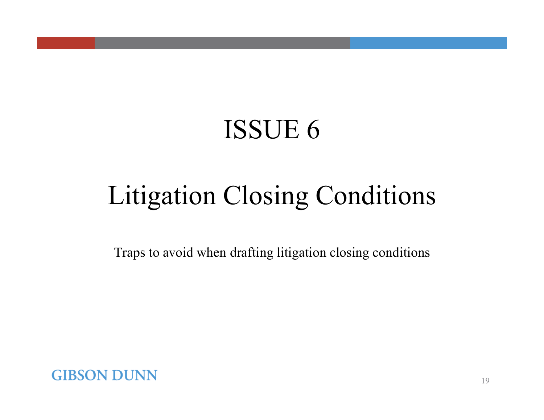# Litigation Closing Conditions

Traps to avoid when drafting litigation closing conditions

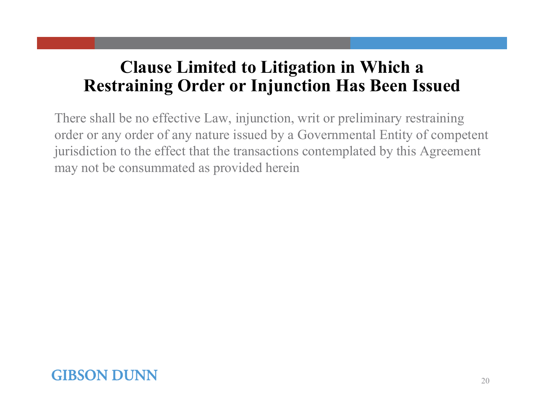## **Clause Limited to Litigation in Which a Restraining Order or Injunction Has Been Issued**

There shall be no effective Law, injunction, writ or preliminary restraining order or any order of any nature issued by a Governmental Entity of competent jurisdiction to the effect that the transactions contemplated by this Agreement may not be consummated as provided herein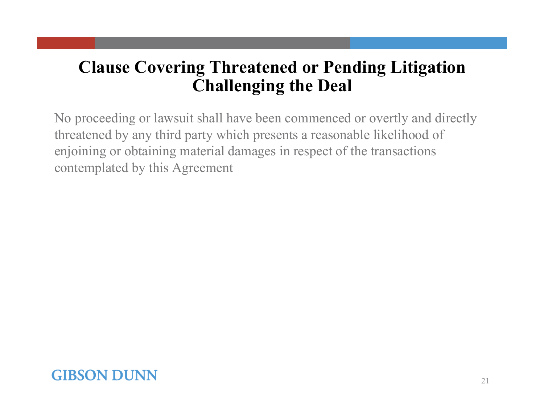## **Clause Covering Threatened or Pending Litigation Challenging the Deal**

No proceeding or lawsuit shall have been commenced or overtly and directly threatened by any third party which presents a reasonable likelihood of enjoining or obtaining material damages in respect of the transactions contemplated by this Agreement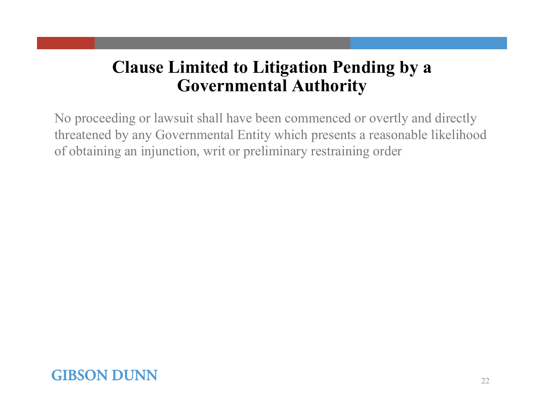## **Clause Limited to Litigation Pending by a Governmental Authority**

No proceeding or lawsuit shall have been commenced or overtly and directly threatened by any Governmental Entity which presents a reasonable likelihood of obtaining an injunction, writ or preliminary restraining order

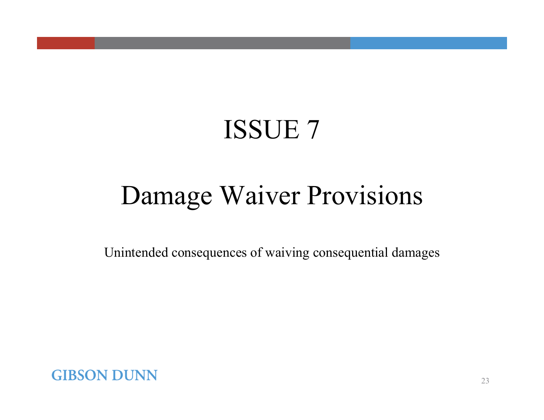# Damage Waiver Provisions

Unintended consequences of waiving consequential damages

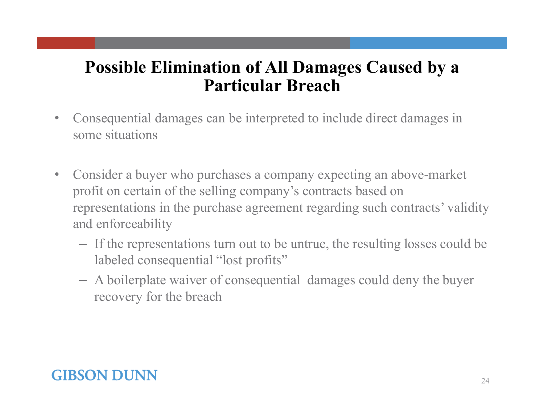### **Possible Elimination of All Damages Caused by a Particular Breach**

- $\bullet$  Consequential damages can be interpreted to include direct damages in some situations
- $\bullet$  Consider a buyer who purchases a company expecting an above-market profit on certain of the selling company's contracts based on representations in the purchase agreement regarding such contracts' validity and enforceability
	- If the representations turn out to be untrue, the resulting losses could be labeled consequential "lost profits"
	- A boilerplate waiver of consequential damages could deny the buyer recovery for the breach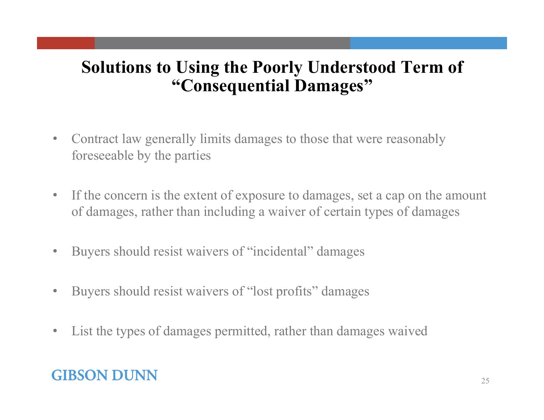### **Solutions to Using the Poorly Understood Term of "Consequential Damages"**

- $\bullet$  Contract law generally limits damages to those that were reasonably foreseeable by the parties
- $\bullet$  If the concern is the extent of exposure to damages, set a cap on the amount of damages, rather than including a waiver of certain types of damages
- $\bullet$ Buyers should resist waivers of "incidental" damages
- $\bullet$ Buyers should resist waivers of "lost profits" damages
- $\bullet$ List the types of damages permitted, rather than damages waived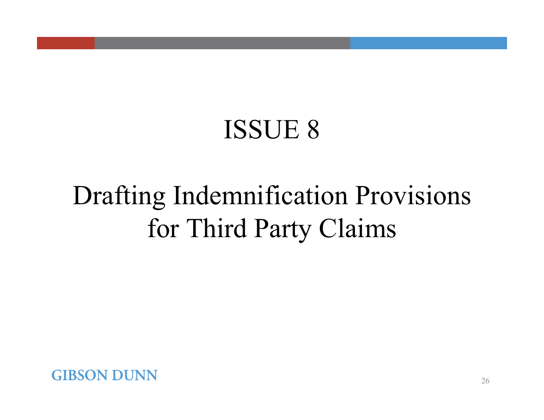# Drafting Indemnification Provisions for Third Party Claims

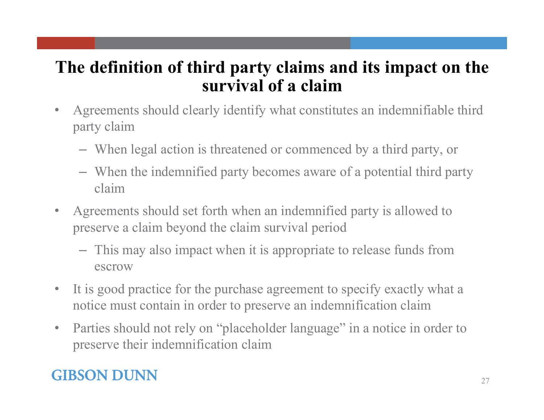### **The definition of third party claims and its impact on the survival of a claim**

- $\bullet$  Agreements should clearly identify what constitutes an indemnifiable third party claim
	- When legal action is threatened or commenced by a third party, or
	- When the indemnified party becomes aware of a potential third party claim
- $\bullet$  Agreements should set forth when an indemnified party is allowed to preserve a claim beyond the claim survival period
	- This may also impact when it is appropriate to release funds from escrow
- $\bullet$  It is good practice for the purchase agreement to specify exactly what a notice must contain in order to preserve an indemnification claim
- $\bullet$  Parties should not rely on "placeholder language" in a notice in order to preserve their indemnification claim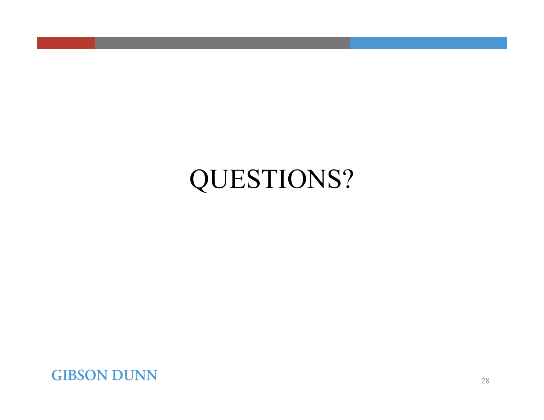# QUESTIONS?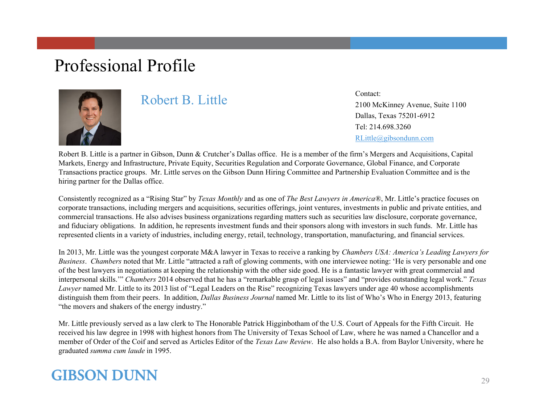### Professional Profile



#### Robert B. Little

Contact:2100 McKinney Avenue, Suite 1100 Dallas, Texas 75201-6912 Tel: 214.698.3260RLittle@gibsondunn.com

Robert B. Little is a partner in Gibson, Dunn & Crutcher's Dallas office. He is a member of the firm's Mergers and Acquisitions, Capital Markets, Energy and Infrastructure, Private Equity, Securities Regulation and Corporate Governance, Global Finance, and Corporate Transactions practice groups. Mr. Little serves on the Gibson Dunn Hiring Committee and Partnership Evaluation Committee and is the hiring partner for the Dallas office.

Consistently recognized as a "Rising Star" by *Texas Monthly* and as one of *The Best Lawyers in America®*, Mr. Little's practice focuses on corporate transactions, including mergers and acquisitions, securities offerings, joint ventures, investments in public and private entities, and commercial transactions. He also advises business organizations regarding matters such as securities law disclosure, corporate governance, and fiduciary obligations. In addition, he represents investment funds and their sponsors along with investors in such funds. Mr. Little has represented clients in a variety of industries, including energy, retail, technology, transportation, manufacturing, and financial services.

In 2013, Mr. Little was the youngest corporate M&A lawyer in Texas to receive a ranking by *Chambers USA: America's Leading Lawyers for Business*. *Chambers* noted that Mr. Little "attracted a raft of glowing comments, with one interviewee noting: 'He is very personable and one of the best lawyers in negotiations at keeping the relationship with the other side good. He is a fantastic lawyer with great commercial and interpersonal skills.'" *Chambers* 2014 observed that he has a "remarkable grasp of legal issues" and "provides outstanding legal work." *Texas Lawyer* named Mr. Little to its 2013 list of "Legal Leaders on the Rise" recognizing Texas lawyers under age 40 whose accomplishments distinguish them from their peers. In addition, *Dallas Business Journal* named Mr. Little to its list of Who's Who in Energy 2013, featuring "the movers and shakers of the energy industry."

Mr. Little previously served as a law clerk to The Honorable Patrick Higginbotham of the U.S. Court of Appeals for the Fifth Circuit. He received his law degree in 1998 with highest honors from The University of Texas School of Law, where he was named a Chancellor and a member of Order of the Coif and served as Articles Editor of the *Texas Law Review*. He also holds a B.A. from Baylor University, where he graduated *summa cum laude* in 1995.